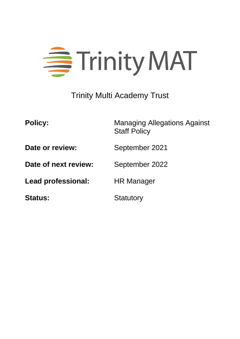

Trinity Multi Academy Trust

| <b>Policy:</b>       | <b>Managing Allegations Against</b><br><b>Staff Policy</b> |
|----------------------|------------------------------------------------------------|
| Date or review:      | September 2021                                             |
| Date of next review: | September 2022                                             |
| Lead professional:   | <b>HR Manager</b>                                          |
| <b>Status:</b>       | <b>Statutory</b>                                           |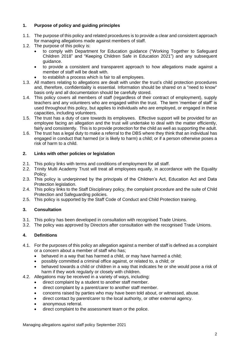# **1. Purpose of policy and guiding principles**

- 1.1. The purpose of this policy and related procedures is to provide a clear and consistent approach for managing allegations made against members of staff.
- 1.2. The purpose of this policy is:
	- to comply with Department for Education guidance ("Working Together to Safeguard Children 2018" and "Keeping Children Safe in Education 2021") and any subsequent guidance.
	- to provide a consistent and transparent approach to how allegations made against a member of staff will be dealt with.
	- to establish a process which is fair to all employees.
- 1.3. All matters relating to allegations are dealt with under the trust's child protection procedures and, therefore, confidentiality is essential. Information should be shared on a "need to know" basis only and all documentation should be carefully stored.
- 1.4. This policy covers all members of staff (regardless of their contract of employment), supply teachers and any volunteers who are engaged within the trust. The term 'member of staff' is used throughout this policy, but applies to individuals who are employed, or engaged in these capacities, including volunteers.
- 1.5. The trust has a duty of care towards its employees. Effective support will be provided for an employee facing an allegation and the trust will undertake to deal with the matter efficiently, fairly and consistently. This is to provide protection for the child as well as supporting the adult.
- 1.6. The trust has a legal duty to make a referral to the DBS where they think that an individual has engaged in conduct that harmed (or is likely to harm) a child; or if a person otherwise poses a risk of harm to a child.

# **2. Links with other policies or legislation**

- 2.1. This policy links with terms and conditions of employment for all staff.
- 2.2. Trinity Multi Academy Trust will treat all employees equally, in accordance with the Equality Policy.
- 2.3. This policy is underpinned by the principals of the Children's Act, Education Act and Data Protection legislation.
- 2.4. This policy links to the Staff Disciplinary policy, the complaint procedure and the suite of Child Protection and Safeguarding policies.
- 2.5. This policy is supported by the Staff Code of Conduct and Child Protection training.

# **3. Consultation**

- 3.1. This policy has been developed in consultation with recognised Trade Unions.
- 3.2. The policy was approved by Directors after consultation with the recognised Trade Unions.

# **4. Definitions**

- 4.1. For the purposes of this policy an allegation against a member of staff is defined as a complaint or a concern about a member of staff who has;
	- behaved in a way that has harmed a child, or may have harmed a child;
	- possibly committed a criminal office against, or related to, a child; or
	- behaved towards a child or children in a way that indicates he or she would pose a risk of harm if they work regularly or closely with children.
- 4.2. Allegations may be received in a variety of ways, including:
	- direct complaint by a student to another staff member.
	- direct complaint by a parent/carer to another staff member.
	- concerns raised by parties who may have been told about, or witnessed, abuse.
	- direct contact by parent/carer to the local authority, or other external agency.
	- anonymous referral.
	- direct complaint to the assessment team or the police.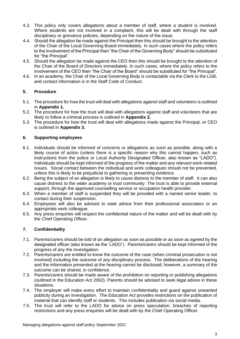- 4.3. This policy only covers allegations about a member of staff, where a student is involved. Where students are not involved in a complaint, this will be dealt with through the staff disciplinary or grievance policies, depending on the nature of the issue.
- 4.4. Should the allegation be made against the Principal then this should be brought to the attention of the Chair of the Local Governing Board immediately. In such cases where the policy refers to the involvement of the Principal then "the Chair of the Governing Body" should be substituted for "the Principal".
- 4.5. Should the allegation be made against the CEO then this should be brought to the attention of the Chair of the Board of Directors immediately. In such cases, where the policy refers to the involvement of the CEO then "the Chair of the Board" should be substituted for "the Principal".
- 4.6. In an academy, the Chair of the Local Governing Body is contactable via the Clerk to the LGB, and contact information is in the Staff Code of Conduct.

# **5. Procedure**

- 5.1. The procedure for how the trust will deal with allegations against staff and volunteers is outlined in **Appendix 1.**
- 5.2. The procedure for how the trust will deal with allegations against staff and volunteers that are likely to follow a criminal process is outlined in **Appendix 2.**
- 5.3. The procedure for how the trust will deal with allegations made against the Principal, or CEO is outlined in **Appendix 3.**

## **6. Supporting employees**

- 6.1. Individuals should be informed of concerns or allegations as soon as possible, along with a likely course of action (unless there is a specific reason why this cannot happen, such as instructions from the police or Local Authority Designated Officer, also known as "LADO"). Individuals should be kept informed of the progress of the matter and any relevant work-related issues. Social contact between the individual and work colleagues should not be prevented, unless this is likely to be prejudicial to gathering or presenting evidence.
- 6.2. Being the subject of an allegation is likely to cause distress to the member of staff. It can also cause distress to the wider academy or trust community. The trust is able to provide external support, through the approved counselling service or occupation health provider.
- 6.3. When a member of staff is suspended they will be provided with a named senior leader, to contact during their suspension.
- 6.4. Employees will also be advised to seek advice from their professional association or an appropriate work colleague.
- 6.5. Any press enquiries will respect the confidential nature of the matter and will be dealt with by the Chief Operating Officer.

### **7. Confidentiality**

- 7.1. Parents/carers should be told of an allegation as soon as possible or as soon as agreed by the designated officer (also known as the 'LADO'). Parents/carers should be kept informed of the progress of any the investigation.
- 7.2. Parents/carers are entitled to know the outcome of the case (when criminal prosecution is not involved) including the outcome of any disciplinary process. The deliberations of the hearing and the information presented at the hearing cannot be disclosed; however, a summary of the outcome can be shared, in confidence.
- 7.3. Parents/carers should be made aware of the prohibition on reporting or publishing allegations (outlined in the Education Act 2002). Parents should be advised to seek legal advice in these situations.
- 7.4. The employer will make every effort to maintain confidentiality and guard against unwanted publicity during an investigation. The Education Act provides restrictions on the publication of material that can identify staff or students. This includes publication via social media.
- 7.5. The trust will refer to the LADO for advice on press speculation, breaches of reporting restrictions and any press enquiries will be dealt with by the Chief Operating Officer.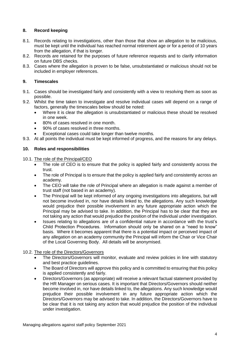# **8. Record keeping**

- 8.1. Records relating to investigations, other than those that show an allegation to be malicious, must be kept until the individual has reached normal retirement age or for a period of 10 years from the allegation, if that is longer.
- 8.2. Records are retained for the purposes of future reference requests and to clarify information on future DBS checks.
- 8.3. Cases where the allegation is proven to be false, unsubstantiated or malicious should not be included in employer references.

## **9. Timescales**

- 9.1. Cases should be investigated fairly and consistently with a view to resolving them as soon as possible.
- 9.2. Whilst the time taken to investigate and resolve individual cases will depend on a range of factors, generally the timescales below should be noted:
	- Where it is clear the allegation is unsubstantiated or malicious these should be resolved in one week.
	- 80% of cases resolved in one month.
	- 90% of cases resolved in three months.
	- Exceptional cases could take longer than twelve months.
- 9.3. At all points the individual must be kept informed of progress, and the reasons for any delays.

### **10. Roles and responsibilities**

10.1. The role of the Principal/CEO

- The role of CEO is to ensure that the policy is applied fairly and consistently across the trust.
- The role of Principal is to ensure that the policy is applied fairly and consistently across an academy.
- The CEO will take the role of Principal where an allegation is made against a member of trust staff (not based in an academy).
- The Principal will be kept informed of any ongoing investigations into allegations, but will not become involved in, nor have details linked to, the allegations. Any such knowledge would prejudice their possible involvement in any future appropriate action which the Principal may be advised to take. In addition, the Principal has to be clear that they are not taking any action that would prejudice the position of the individual under investigation.
- Issues relating to allegations are of a confidential nature in accordance with the trust's Child Protection Procedures. Information should only be shared on a "need to know" basis. Where it becomes apparent that there is a potential impact or perceived impact of any allegation on an academy community the Principal will inform the Chair or Vice Chair of the Local Governing Body. All details will be anonymised.

### 10.2. The role of the Directors/Governors

- The Directors/Governors will monitor, evaluate and review policies in line with statutory and best practice guidelines.
- The Board of Directors will approve this policy and is committed to ensuring that this policy is applied consistently and fairly.
- Directors/Governors (as appropriate) will receive a relevant factual statement provided by the HR Manager on serious cases. It is important that Directors/Governors should neither become involved in, nor have details linked to, the allegations. Any such knowledge would prejudice their possible involvement in any future appropriate action which the Directors/Governors may be advised to take. In addition, the Directors/Governors have to be clear that it is not taking any action that would prejudice the position of the individual under investigation.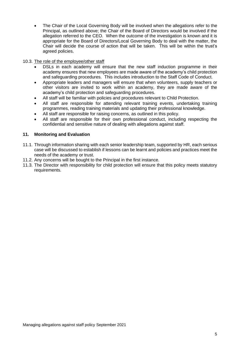• The Chair of the Local Governing Body will be involved when the allegations refer to the Principal, as outlined above; the Chair of the Board of Directors would be involved if the allegation referred to the CEO. When the outcome of the investigation is known and it is appropriate for the Board of Directors/Local Governing Body to deal with the matter, the Chair will decide the course of action that will be taken. This will be within the trust's agreed policies.

## 10.3. The role of the employee/other staff

- DSLs in each academy will ensure that the new staff induction programme in their academy ensures that new employees are made aware of the academy's child protection and safeguarding procedures. This includes introduction to the Staff Code of Conduct.
- Appropriate leaders and managers will ensure that when volunteers, supply teachers or other visitors are invited to work within an academy, they are made aware of the academy's child protection and safeguarding procedures.
- All staff will be familiar with policies and procedures relevant to Child Protection.
- All staff are responsible for attending relevant training events, undertaking training programmes, reading training materials and updating their professional knowledge.
- All staff are responsible for raising concerns, as outlined in this policy.
- All staff are responsible for their own professional conduct, including respecting the confidential and sensitive nature of dealing with allegations against staff.

### **11. Monitoring and Evaluation**

- 11.1. Through information sharing with each senior leadership team, supported by HR, each serious case will be discussed to establish if lessons can be learnt and policies and practices meet the needs of the academy or trust.
- 11.2. Any concerns will be bought to the Principal in the first instance.
- 11.3. The Director with responsibility for child protection will ensure that this policy meets statutory requirements.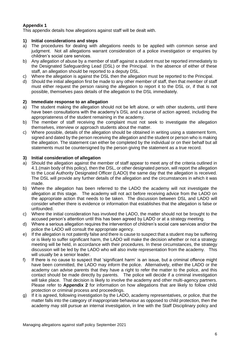# **Appendix 1**

This appendix details how allegations against staff will be dealt with.

## **1) Initial considerations and steps**

- a) The procedures for dealing with allegations needs to be applied with common sense and judgment. Not all allegations warrant consideration of a police investigation or enquiries by children's social care services.
- b) Any allegation of abuse by a member of staff against a student must be reported immediately to the Designated Safeguarding Lead (DSL) or the Principal. In the absence of either of these staff, an allegation should be reported to a deputy DSL.
- c) Where the allegation is against the DSL then the allegation must be reported to the Principal.
- d) Should the initial allegation first be made to any other member of staff, then that member of staff must either request the person raising the allegation to report it to the DSL or, if that is not possible, themselves pass details of the allegation to the DSL immediately.

## **2) Immediate response to an allegation**

- a) The student making the allegation should not be left alone, or with other students, until there have been consultations with the academy's DSL and a course of action agreed, including the appropriateness of the student remaining in the academy.
- b) The member of staff receiving the complaint must not seek to investigate the allegation themselves, interview or approach students about the matter.
- c) Where possible, details of the allegation should be obtained in writing using a statement form, signed and dated by the person receiving the allegation and the student or person who is making the allegation. The statement can either be completed by the individual or on their behalf but all statements must be countersigned by the person giving the statement as a true record.

## **3) Initial consideration of allegation**

- a) Should the allegation against the member of staff appear to meet any of the criteria outlined in 4.1.(main body of this policy), then the DSL, or other designated person, will report the allegation to the Local Authority Designated Officer (LADO) the same day that the allegation is received. The DSL will provide any further details of the allegation and the circumstances in which it was made.
- b) Where the allegation has been referred to the LADO the academy will not investigate the allegation at this stage. The academy will not act before receiving advice from the LADO on the appropriate action that needs to be taken. The discussion between DSL and LADO will consider whether there is evidence or information that establishes that the allegation is false or unfounded.
- c) Where the initial consideration has involved the LADO, the matter should not be brought to the accused person's attention until this has been agreed by LADO or at a strategy meeting.
- d) Where a serious allegation requires the intervention of children's social care services and/or the police the LADO will consult the appropriate agency.
- e) If the allegation is not patently false and there is cause to suspect that a student may be suffering or is likely to suffer significant harm, the LADO will make the decision whether or not a strategy meeting will be held, in accordance with their procedures. In these circumstances, the strategy discussion will be led by the LADO who will also invite representation from the academy. This will usually be a senior leader.
- f) If there is no cause to suspect that 'significant harm' is an issue, but a criminal offence might have been committed, the LADO may inform the police. Alternatively, either the LADO or the academy can advise parents that they have a right to refer the matter to the police, and this contact should be made directly by parents. The police will decide if a criminal investigation will take place. That decision is likely to involve the academy and other multi-agency partners. Please refer to **Appendix 2** for information on how allegations that are likely to follow child protection or criminal process and proceedings.
- g) If it is agreed, following investigation by the LADO, academy representatives, or police, that the matter falls into the category of inappropriate behaviour as opposed to child protection, then the academy may still pursue an internal investigation, in line with the Staff Disciplinary policy and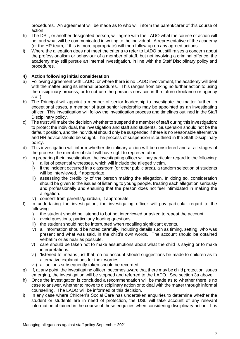procedures. An agreement will be made as to who will inform the parent/carer of this course of action.

- h) The DSL, or another designated person, will agree with the LADO what the course of action will be, and what will be communicated in writing to the individual. A representative of the academy (or the HR team, if this is more appropriate) will then follow up on any agreed actions.
- i) Where the allegation does not meet the criteria to refer to LADO but still raises a concern about the professionalism or behaviour of a member of staff, but not involving a criminal offence, the academy may still pursue an internal investigation, in line with the Staff Disciplinary policy and procedures.

## **4) Action following initial consideration**

- a) Following agreement with LADO, or where there is no LADO involvement, the academy will deal with the matter using its internal procedures. This ranges from taking no further action to using the disciplinary process, or to not use the person's services in the future (freelance or agency staff).
- b) The Principal will appoint a member of senior leadership to investigate the matter further. In exceptional cases, a member of trust senior leadership may be appointed as an investigating officer. This investigation will follow the investigation process and timelines outlined in the Staff Disciplinary policy.
- c) The trust will make the decision whether to suspend the member of staff during this investigation; to protect the individual, the investigation and staff and students. Suspension should not be the default position, and the individual should only be suspended if there is no reasonable alternative and HR advice should be sought. The process of suspension is outlined in the Staff Disciplinary policy.
- d) This investigation will inform whether disciplinary action will be considered and at all stages of the process the member of staff will have right to representation.
- e) In preparing their investigation, the investigating officer will pay particular regard to the following:
	- i) a list of potential witnesses, which will include the alleged victim.
	- ii) if the incident occurred in a classroom (or other public area), a random selection of students will be interviewed, if appropriate.
	- iii) assessing the credibility of the person making the allegation. In doing so, consideration should be given to the issues of listening to young people, treating each allegation seriously and professionally and ensuring that the person does not feel intimidated in making the allegation.
	- iv) consent from parents/guardian, if appropriate.
- f) In undertaking the investigation, the investigating officer will pay particular regard to the following:
	- i) the student should be listened to but not interviewed or asked to repeat the account.
	- ii) avoid questions, particularly leading questions.
	- iii) the student should not be interrupted when recalling significant events.
	- iv) all information should be noted carefully, including details such as timing, setting, who was present and what was said, in the child's own words. The account should be obtained verbatim or as near as possible.
	- v) care should be taken not to make assumptions about what the child is saying or to make interpretations.
	- vi) 'listened to' means just that; on no account should suggestions be made to children as to alternative explanations for their worries.
	- vii) all actions subsequently taken should be recorded.
- g) If, at any point, the investigating officer, becomes aware that there may be child protection issues emerging, the investigation will be stopped and referred to the LADO. See section 3a above.
- h) Once the investigation is concluded a recommendation will be made as to whether there is no case to answer, whether to move to disciplinary action or to deal with the matter through informal counselling. The LADO will be informed of this decision.
- i) In any case where Children's Social Care has undertaken enquiries to determine whether the student or students are in need of protection, the DSL will take account of any relevant information obtained in the course of those enquiries when considering disciplinary action. It is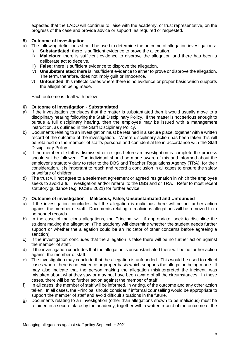expected that the LADO will continue to liaise with the academy, or trust representative, on the progress of the case and provide advice or support, as required or requested.

## **5) Outcome of investigation**

- a) The following definitions should be used to determine the outcome of allegation investigations:
	- **Substantiated:** there is sufficient evidence to prove the allegation.
	- ii) **Malicious**: there is sufficient evidence to disprove the allegation and there has been a deliberate act to deceive.
	- iii) **False:** there is sufficient evidence to disprove the allegation.
	- iv) **Unsubstantiated**: there is insufficient evidence to either to prove or disprove the allegation. The term, therefore, does not imply guilt or innocence.
	- v) **Unfounded**: this reflects cases where there is no evidence or proper basis which supports the allegation being made.

Each outcome is dealt with below:

### **6) Outcome of investigation** - **Substantiated**

- a) If the investigation concludes that the matter is substantiated then it would usually move to a disciplinary hearing following the Staff Disciplinary Policy. If the matter is not serious enough to pursue a full disciplinary hearing, then the employee may be issued with a management instruction, as outlined in the Staff Disciplinary Policy.
- b) Documents relating to an investigation must be retained in a secure place, together with a written record of the outcome of the investigation. Where disciplinary action has been taken this will be retained on the member of staff's personal and confidential file in accordance with the Staff Disciplinary Policy.
- c) If the member of staff is dismissed or resigns before an investigation is complete the process should still be followed. The individual should be made aware of this and informed about the employer's statutory duty to refer to the DBS and Teacher Regulations Agency (TRA), for their consideration. It is important to reach and record a conclusion in all cases to ensure the safety or welfare of children.
- d) The trust will not agree to a settlement agreement or agreed resignation in which the employee seeks to avoid a full investigation and/or referral to the DBS and or TRA. Refer to most recent statutory guidance (e.g. KCSIE 2021) for further advice.

### **7) Outcome of investigation** - **Malicious, False, Unsubstantiated and Unfounded**

- a) If the investigation concludes that the allegation is malicious there will be no further action against the member of staff. Documents relating to malicious allegations will be removed from personnel records.
- b) In the case of malicious allegations, the Principal will, if appropriate, seek to discipline the student making the allegation. (The academy will determine whether the student needs further support or whether the allegation could be an indicator of other concerns before agreeing a sanction).
- c) If the investigation concludes that the allegation is false there will be no further action against the member of staff.
- d) If the investigation concludes that the allegation is unsubstantiated there will be no further action against the member of staff.
- e) The investigation may conclude that the allegation is unfounded. This would be used to reflect cases where there is no evidence or proper basis which supports the allegation being made. It may also indicate that the person making the allegation misinterpreted the incident, was mistaken about what they saw or may not have been aware of all the circumstances. In these cases, there will be no further action against the member of staff.
- f) In all cases, the member of staff will be informed, in writing, of the outcome and any other action taken. In all cases, the Principal should consider if informal counselling would be appropriate to support the member of staff and avoid difficult situations in the future.
- g) Documents relating to an investigation (other than allegations shown to be malicious) must be retained in a secure place by the academy, together with a written record of the outcome of the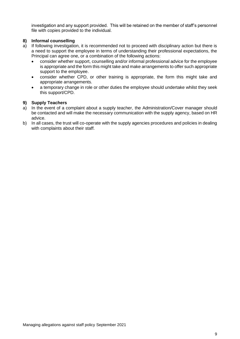investigation and any support provided. This will be retained on the member of staff's personnel file with copies provided to the individual.

## **8) Informal counselling**

- a) If following investigation, it is recommended not to proceed with disciplinary action but there is a need to support the employee in terms of understanding their professional expectations, the Principal can agree one, or a combination of the following actions:
	- consider whether support, counselling and/or informal professional advice for the employee is appropriate and the form this might take and make arrangements to offer such appropriate support to the employee.
	- consider whether CPD, or other training is appropriate, the form this might take and appropriate arrangements.
	- a temporary change in role or other duties the employee should undertake whilst they seek this support/CPD.

### **9) Supply Teachers**

- a) In the event of a complaint about a supply teacher, the Administration/Cover manager should be contacted and will make the necessary communication with the supply agency, based on HR advice.
- b) In all cases, the trust will co-operate with the supply agencies procedures and policies in dealing with complaints about their staff.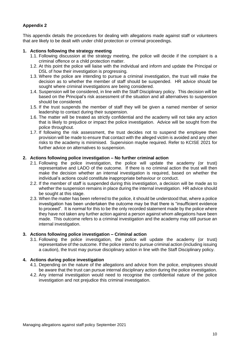# **Appendix 2**

This appendix details the procedures for dealing with allegations made against staff or volunteers that are likely to be dealt with under child protection or criminal proceedings.

## **1. Actions following the strategy meeting**

- 1.1. Following discussion at the strategy meeting, the police will decide if the complaint is a criminal offence or a child protection matter.
- 1.2. At this point the police will liaise with the individual and inform and update the Principal or DSL of how their investigation is progressing.
- 1.3. Where the police are intending to pursue a criminal investigation, the trust will make the decision as to whether the member of staff should be suspended. HR advice should be sought where criminal investigations are being considered.
- 1.4. Suspension will be considered, in line with the Staff Disciplinary policy. This decision will be based on the Principal's risk assessment of the situation and all alternatives to suspension should be considered.
- 1.5. If the trust suspends the member of staff they will be given a named member of senior leadership to contact during their suspension.
- 1.6. The matter will be treated as strictly confidential and the academy will not take any action that is likely to prejudice or impact the police investigation. Advice will be sought from the police throughout.
- 1.7. If following the risk assessment, the trust decides not to suspend the employee then provision will be made to ensure that contact with the alleged victim is avoided and any other risks to the academy is minimised. Supervision maybe required. Refer to KCISE 2021 for further advice on alternatives to suspension.

### **2. Actions following police investigation – No further criminal action**

- 2.1. Following the police investigation, the police will update the academy (or trust) representative and LADO of the outcome. If there is no criminal action the trust will then make the decision whether an internal investigation is required, based on whether the individual's actions could constitute inappropriate behaviour or conduct.
- 2.2. If the member of staff is suspended during this investigation, a decision will be made as to whether the suspension remains in place during the internal investigation. HR advice should be sought at this stage.
- 2.3. When the matter has been referred to the police, it should be understood that, where a police investigation has been undertaken the outcome may be that there is "insufficient evidence to proceed". It is normal for this to be the only recorded statement made by the police where they have not taken any further action against a person against whom allegations have been made. This outcome refers to a criminal investigation and the academy may still pursue an internal investigation.

### **3. Actions following police investigation – Criminal action**

3.1. Following the police investigation, the police will update the academy (or trust) representative of the outcome. If the police intend to pursue criminal action (including issuing a caution), the trust may pursue disciplinary action in line with the Staff Disciplinary policy.

### **4. Actions during police investigation**

- 4.1. Depending on the nature of the allegations and advice from the police, employees should be aware that the trust can pursue internal disciplinary action during the police investigation.
- 4.2. Any internal investigation would need to recognise the confidential nature of the police investigation and not prejudice this criminal investigation.